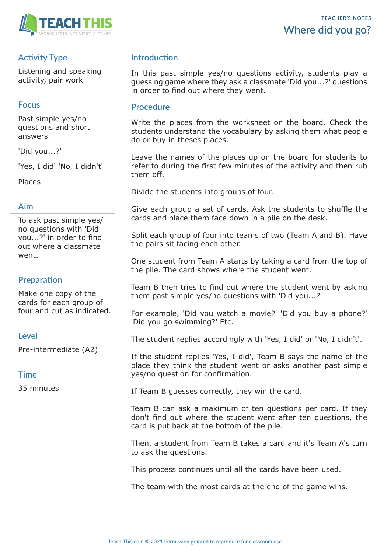

# **Activity Type**

Listening and speaking activity, pair work

## **Focus**

Past simple yes/no questions and short answers

'Did you...?'

'Yes, I did' 'No, I didn't'

Places

### **Aim**

To ask past simple yes/ no questions with 'Did you...?' in order to find out where a classmate went.

## **Preparation**

Make one copy of the cards for each group of four and cut as indicated.

### **Level**

Pre-intermediate (A2)

### **Time**

35 minutes

## **Introduction**

In this past simple yes/no questions activity, students play a guessing game where they ask a classmate 'Did you...?' questions in order to find out where they went.

#### **Procedure**

Write the places from the worksheet on the board. Check the students understand the vocabulary by asking them what people do or buy in theses places.

Leave the names of the places up on the board for students to refer to during the first few minutes of the activity and then rub them off.

Divide the students into groups of four.

Give each group a set of cards. Ask the students to shuffle the cards and place them face down in a pile on the desk.

Split each group of four into teams of two (Team A and B). Have the pairs sit facing each other.

One student from Team A starts by taking a card from the top of the pile. The card shows where the student went.

Team B then tries to find out where the student went by asking them past simple yes/no questions with 'Did you...?'

For example, 'Did you watch a movie?' 'Did you buy a phone?' 'Did you go swimming?' Etc.

The student replies accordingly with 'Yes, I did' or 'No, I didn't'.

If the student replies 'Yes, I did', Team B says the name of the place they think the student went or asks another past simple yes/no question for confirmation.

If Team B guesses correctly, they win the card.

Team B can ask a maximum of ten questions per card. If they don't find out where the student went after ten questions, the card is put back at the bottom of the pile.

Then, a student from Team B takes a card and it's Team A's turn to ask the questions.

This process continues until all the cards have been used.

The team with the most cards at the end of the game wins.